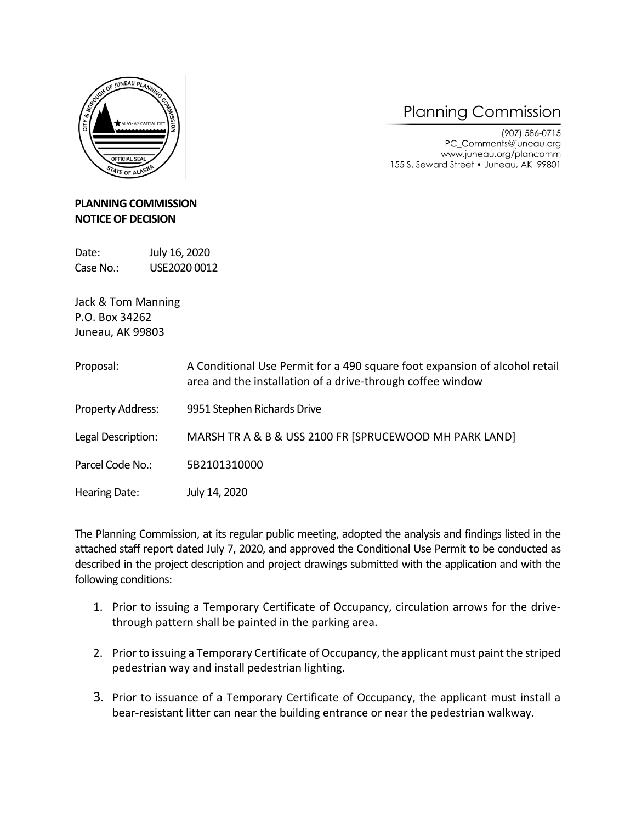

## **Planning Commission**

(907) 586-0715 PC\_Comments@juneau.org www.juneau.org/plancomm 155 S. Seward Street . Juneau, AK 99801

## **PLANNING COMMISSION NOTICE OF DECISION**

Date: July 16, 2020 Case No.: USE2020 0012

Jack & Tom Manning P.O. Box 34262 Juneau, AK 99803

| Proposal:            | A Conditional Use Permit for a 490 square foot expansion of alcohol retail<br>area and the installation of a drive-through coffee window |
|----------------------|------------------------------------------------------------------------------------------------------------------------------------------|
| Property Address:    | 9951 Stephen Richards Drive                                                                                                              |
| Legal Description:   | MARSH TR A & B & USS 2100 FR [SPRUCEWOOD MH PARK LAND]                                                                                   |
| Parcel Code No.:     | 5B2101310000                                                                                                                             |
| <b>Hearing Date:</b> | July 14, 2020                                                                                                                            |

The Planning Commission, at its regular public meeting, adopted the analysis and findings listed in the attached staff report dated July 7, 2020, and approved the Conditional Use Permit to be conducted as described in the project description and project drawings submitted with the application and with the following conditions:

- 1. Prior to issuing a Temporary Certificate of Occupancy, circulation arrows for the drivethrough pattern shall be painted in the parking area.
- 2. Prior to issuing a Temporary Certificate of Occupancy, the applicant must paint the striped pedestrian way and install pedestrian lighting.
- 3. Prior to issuance of a Temporary Certificate of Occupancy, the applicant must install a bear-resistant litter can near the building entrance or near the pedestrian walkway.